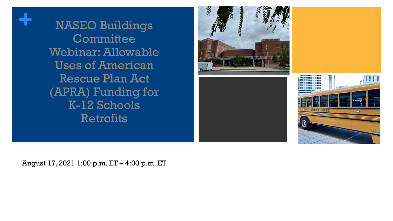**+** NASEO Buildings **Committee** Webinar: Allowable Uses of American Rescue Plan Act (APRA) Funding for K-12 Schools Retrofits





August 17, 2021 1:00 p.m. ET – 4:00 p.m. ET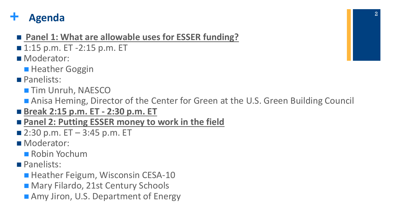## **+ Agenda**

- Panel 1: What are allowable uses for ESSER funding?
- 1:15 p.m. ET -2:15 p.m. ET
- Moderator:
	- **Heather Goggin**
- **Panelists:** 
	- **Tim Unruh, NAESCO**
	- Anisa Heming, Director of the Center for Green at the U.S. Green Building Council
- **Break 2:15 p.m. ET - 2:30 p.m. ET**
- Panel 2: Putting ESSER money to work in the field
- $\blacksquare$  2:30 p.m. ET 3:45 p.m. ET
- Moderator:
	- Robin Yochum
- **Panelists:** 
	- Heather Feigum, Wisconsin CESA-10
	- Mary Filardo, 21st Century Schools
	- Amy Jiron, U.S. Department of Energy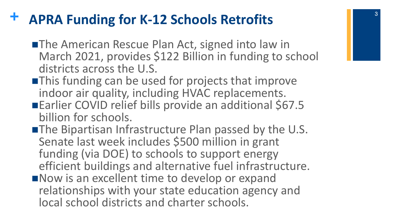## **+ APRA Funding for K-12 Schools Retrofits**

- **The American Rescue Plan Act, signed into law in** March 2021, provides \$122 Billion in funding to school districts across the U.S.
- **This funding can be used for projects that improve** indoor air quality, including HVAC replacements.
- ■Earlier COVID relief bills provide an additional \$67.5 billion for schools.
- **The Bipartisan Infrastructure Plan passed by the U.S.** Senate last week includes \$500 million in grant funding (via DOE) to schools to support energy efficient buildings and alternative fuel infrastructure.
- Now is an excellent time to develop or expand relationships with your state education agency and local school districts and charter schools.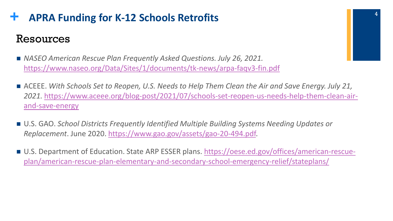## **+ APRA Funding for K-12 Schools Retrofits** Resources

- *NASEO American Rescue Plan Frequently Asked Questions. July 26, 2021.* <https://www.naseo.org/Data/Sites/1/documents/tk-news/arpa-faqv3-fin.pdf>
- ACEEE. With Schools Set to Reopen, U.S. Needs to Help Them Clean the Air and Save Energy. July 21, *2021.* [https://www.aceee.org/blog-post/2021/07/schools-set-reopen-us-needs-help-them-clean-air](https://www.aceee.org/blog-post/2021/07/schools-set-reopen-us-needs-help-them-clean-air-and-save-energy)and-save-energy
- U.S. GAO. *School Districts Frequently Identified Multiple Building Systems Needing Updates or Replacement*. June 2020. [https://www.gao.gov/assets/gao-20-494.pdf.](https://www.gao.gov/assets/gao-20-494.pdf)
- [U.S. Department of Education. State ARP ESSER plans. https://oese.ed.gov/offices/american-rescue](https://oese.ed.gov/offices/american-rescue-plan/american-rescue-plan-elementary-and-secondary-school-emergency-relief/stateplans/)plan/american-rescue-plan-elementary-and-secondary-school-emergency-relief/stateplans/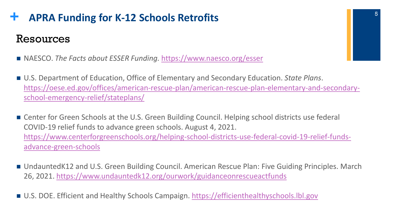## **+ APRA Funding for K-12 Schools Retrofits** Resources

- NAESCO. *The Facts about ESSER Funding.* <https://www.naesco.org/esser>
- U.S. Department of Education, Office of Elementary and Secondary Education. *State Plans*. [https://oese.ed.gov/offices/american-rescue-plan/american-rescue-plan-elementary-and-secondary](https://oese.ed.gov/offices/american-rescue-plan/american-rescue-plan-elementary-and-secondary-school-emergency-relief/stateplans/)school-emergency-relief/stateplans/
- Center for Green Schools at the U.S. Green Building Council. Helping school districts use federal COVID-19 relief funds to advance green schools. August 4, 2021. [https://www.centerforgreenschools.org/helping-school-districts-use-federal-covid-19-relief-funds](https://www.centerforgreenschools.org/helping-school-districts-use-federal-covid-19-relief-funds-advance-green-schools)advance-green-schools
- UndauntedK12 and U.S. Green Building Council. American Rescue Plan: Five Guiding Principles. March 26, 2021.<https://www.undauntedk12.org/ourwork/guidanceonrescueactfunds>
- U.S. DOE. Efficient and Healthy Schools Campaign. [https://efficienthealthyschools.lbl.gov](https://efficienthealthyschools.lbl.gov/)